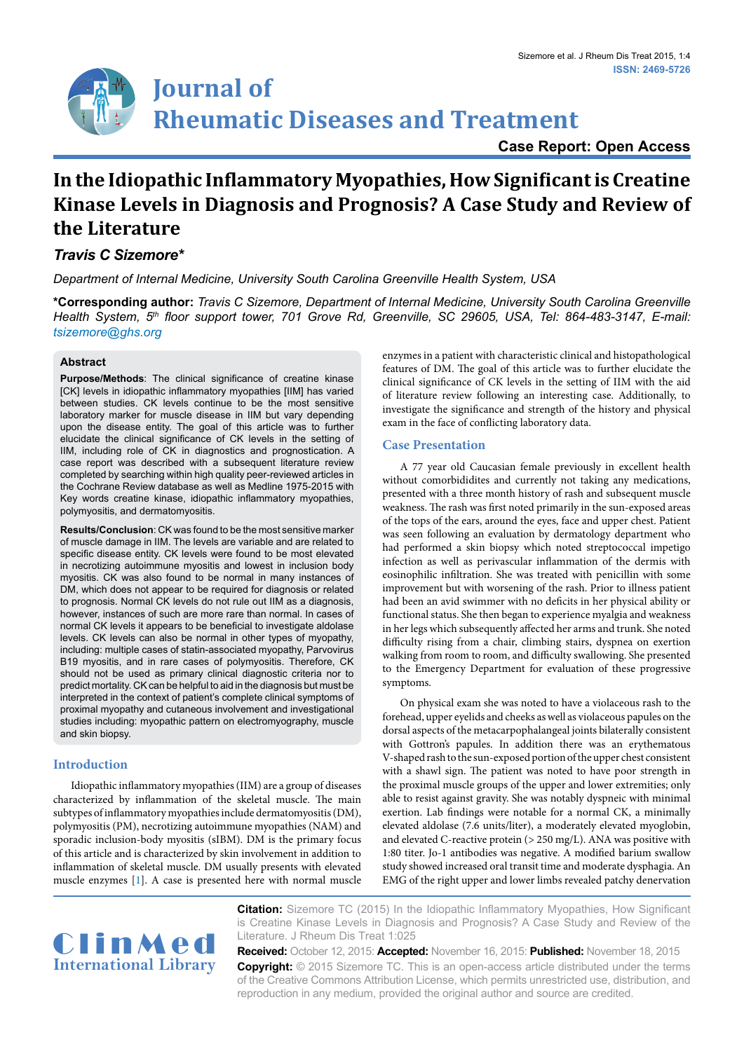# **Journal of Rheumatic Diseases and Treatment**

# **Case Report: Open Access**

# **In the Idiopathic Inflammatory Myopathies, How Significant is Creatine Kinase Levels in Diagnosis and Prognosis? A Case Study and Review of the Literature**

# *Travis C Sizemore\**

*Department of Internal Medicine, University South Carolina Greenville Health System, USA*

**\*Corresponding author:** *Travis C Sizemore, Department of Internal Medicine, University South Carolina Greenville Health System, 5th floor support tower, 701 Grove Rd, Greenville, SC 29605, USA, Tel: 864-483-3147, E-mail: tsizemore@ghs.org* 

## **Abstract**

**Purpose/Methods**: The clinical significance of creatine kinase [CK] levels in idiopathic inflammatory myopathies [IIM] has varied between studies. CK levels continue to be the most sensitive laboratory marker for muscle disease in IIM but vary depending upon the disease entity. The goal of this article was to further elucidate the clinical significance of CK levels in the setting of IIM, including role of CK in diagnostics and prognostication. A case report was described with a subsequent literature review completed by searching within high quality peer-reviewed articles in the Cochrane Review database as well as Medline 1975-2015 with Key words creatine kinase, idiopathic inflammatory myopathies, polymyositis, and dermatomyositis.

**Results/Conclusion**: CK was found to be the most sensitive marker of muscle damage in IIM. The levels are variable and are related to specific disease entity. CK levels were found to be most elevated in necrotizing autoimmune myositis and lowest in inclusion body myositis. CK was also found to be normal in many instances of DM, which does not appear to be required for diagnosis or related to prognosis. Normal CK levels do not rule out IIM as a diagnosis, however, instances of such are more rare than normal. In cases of normal CK levels it appears to be beneficial to investigate aldolase levels. CK levels can also be normal in other types of myopathy, including: multiple cases of statin-associated myopathy, Parvovirus B19 myositis, and in rare cases of polymyositis. Therefore, CK should not be used as primary clinical diagnostic criteria nor to predict mortality. CK can be helpful to aid in the diagnosis but must be interpreted in the context of patient's complete clinical symptoms of proximal myopathy and cutaneous involvement and investigational studies including: myopathic pattern on electromyography, muscle and skin biopsy.

# **Introduction**

Idiopathic inflammatory myopathies (IIM) are a group of diseases characterized by inflammation of the skeletal muscle. The main subtypes of inflammatory myopathies include dermatomyositis (DM), polymyositis (PM), necrotizing autoimmune myopathies (NAM) and sporadic inclusion-body myositis (sIBM). DM is the primary focus of this article and is characterized by skin involvement in addition to inflammation of skeletal muscle. DM usually presents with elevated muscle enzymes [\[1\]](#page-1-0). A case is presented here with normal muscle enzymes in a patient with characteristic clinical and histopathological features of DM. The goal of this article was to further elucidate the clinical significance of CK levels in the setting of IIM with the aid of literature review following an interesting case. Additionally, to investigate the significance and strength of the history and physical exam in the face of conflicting laboratory data.

# **Case Presentation**

A 77 year old Caucasian female previously in excellent health without comorbididites and currently not taking any medications, presented with a three month history of rash and subsequent muscle weakness. The rash was first noted primarily in the sun-exposed areas of the tops of the ears, around the eyes, face and upper chest. Patient was seen following an evaluation by dermatology department who had performed a skin biopsy which noted streptococcal impetigo infection as well as perivascular inflammation of the dermis with eosinophilic infiltration. She was treated with penicillin with some improvement but with worsening of the rash. Prior to illness patient had been an avid swimmer with no deficits in her physical ability or functional status. She then began to experience myalgia and weakness in her legs which subsequently affected her arms and trunk. She noted difficulty rising from a chair, climbing stairs, dyspnea on exertion walking from room to room, and difficulty swallowing. She presented to the Emergency Department for evaluation of these progressive symptoms.

On physical exam she was noted to have a violaceous rash to the forehead, upper eyelids and cheeks as well as violaceous papules on the dorsal aspects of the metacarpophalangeal joints bilaterally consistent with Gottron's papules. In addition there was an erythematous V-shaped rash to the sun-exposed portion of the upper chest consistent with a shawl sign. The patient was noted to have poor strength in the proximal muscle groups of the upper and lower extremities; only able to resist against gravity. She was notably dyspneic with minimal exertion. Lab findings were notable for a normal CK, a minimally elevated aldolase (7.6 units/liter), a moderately elevated myoglobin, and elevated C-reactive protein (> 250 mg/L). ANA was positive with 1:80 titer. Jo-1 antibodies was negative. A modified barium swallow study showed increased oral transit time and moderate dysphagia. An EMG of the right upper and lower limbs revealed patchy denervation



**Citation:** Sizemore TC (2015) In the Idiopathic Inflammatory Myopathies, How Significant is Creatine Kinase Levels in Diagnosis and Prognosis? A Case Study and Review of the Literature. J Rheum Dis Treat 1:025

**Received:** October 12, 2015: **Accepted:** November 16, 2015: **Published:** November 18, 2015 **Copyright:** © 2015 Sizemore TC. This is an open-access article distributed under the terms of the Creative Commons Attribution License, which permits unrestricted use, distribution, and reproduction in any medium, provided the original author and source are credited.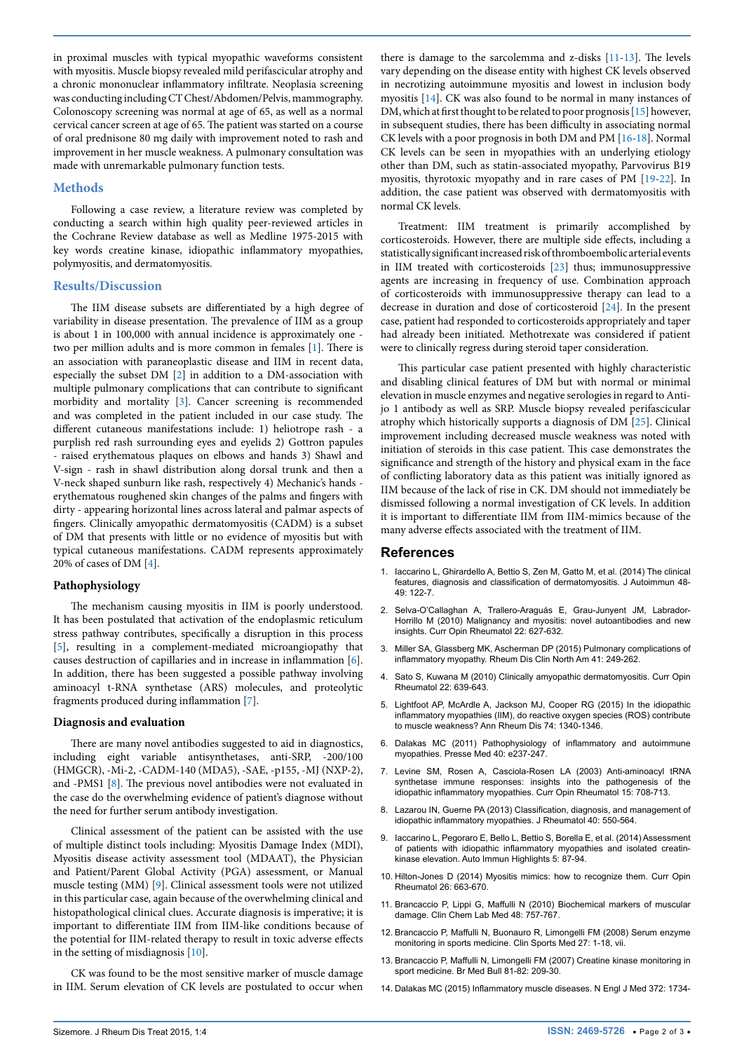in proximal muscles with typical myopathic waveforms consistent with myositis. Muscle biopsy revealed mild perifascicular atrophy and a chronic mononuclear inflammatory infiltrate. Neoplasia screening was conducting including CT Chest/Abdomen/Pelvis, mammography. Colonoscopy screening was normal at age of 65, as well as a normal cervical cancer screen at age of 65. The patient was started on a course of oral prednisone 80 mg daily with improvement noted to rash and improvement in her muscle weakness. A pulmonary consultation was made with unremarkable pulmonary function tests.

### **Methods**

Following a case review, a literature review was completed by conducting a search within high quality peer-reviewed articles in the Cochrane Review database as well as Medline 1975-2015 with key words creatine kinase, idiopathic inflammatory myopathies, polymyositis, and dermatomyositis.

#### **Results/Discussion**

The IIM disease subsets are differentiated by a high degree of variability in disease presentation. The prevalence of IIM as a group is about 1 in 100,000 with annual incidence is approximately one two per million adults and is more common in females [[1](#page-1-0)]. There is an association with paraneoplastic disease and IIM in recent data, especially the subset DM [\[2\]](#page-1-4) in addition to a DM-association with multiple pulmonary complications that can contribute to significant morbidity and mortality [\[3\]](#page-1-5). Cancer screening is recommended and was completed in the patient included in our case study. The different cutaneous manifestations include: 1) heliotrope rash - a purplish red rash surrounding eyes and eyelids 2) Gottron papules - raised erythematous plaques on elbows and hands 3) Shawl and V-sign - rash in shawl distribution along dorsal trunk and then a V-neck shaped sunburn like rash, respectively 4) Mechanic's hands erythematous roughened skin changes of the palms and fingers with dirty - appearing horizontal lines across lateral and palmar aspects of fingers. Clinically amyopathic dermatomyositis (CADM) is a subset of DM that presents with little or no evidence of myositis but with typical cutaneous manifestations. CADM represents approximately 20% of cases of DM [\[4\]](#page-1-6).

#### **Pathophysiology**

The mechanism causing myositis in IIM is poorly understood. It has been postulated that activation of the endoplasmic reticulum stress pathway contributes, specifically a disruption in this process [[5\]](#page-1-7), resulting in a complement-mediated microangiopathy that causes destruction of capillaries and in increase in inflammation [\[6](#page-1-8)]. In addition, there has been suggested a possible pathway involving aminoacyl t-RNA synthetase (ARS) molecules, and proteolytic fragments produced during inflammation [[7](#page-1-9)].

#### **Diagnosis and evaluation**

There are many novel antibodies suggested to aid in diagnostics, including eight variable antisynthetases, anti-SRP, -200/100 (HMGCR), -Mi-2, -CADM-140 (MDA5), -SAE, -p155, -MJ (NXP-2), and -PMS1 [\[8](#page-1-10)]. The previous novel antibodies were not evaluated in the case do the overwhelming evidence of patient's diagnose without the need for further serum antibody investigation.

Clinical assessment of the patient can be assisted with the use of multiple distinct tools including: Myositis Damage Index (MDI), Myositis disease activity assessment tool (MDAAT), the Physician and Patient/Parent Global Activity (PGA) assessment, or Manual muscle testing (MM) [[9\]](#page-1-11). Clinical assessment tools were not utilized in this particular case, again because of the overwhelming clinical and histopathological clinical clues. Accurate diagnosis is imperative; it is important to differentiate IIM from IIM-like conditions because of the potential for IIM-related therapy to result in toxic adverse effects in the setting of misdiagnosis [[10](#page-1-12)].

CK was found to be the most sensitive marker of muscle damage in IIM. Serum elevation of CK levels are postulated to occur when

there is damage to the sarcolemma and z-disks [\[11](#page-1-1)[-13\]](#page-1-2). The levels vary depending on the disease entity with highest CK levels observed in necrotizing autoimmune myositis and lowest in inclusion body myositis [\[14\]](#page-1-3). CK was also found to be normal in many instances of DM, which at first thought to be related to poor prognosis [[15\]](#page-2-0) however, in subsequent studies, there has been difficulty in associating normal CK levels with a poor prognosis in both DM and PM [\[16](#page-2-1)[-18\]](#page-2-2). Normal CK levels can be seen in myopathies with an underlying etiology other than DM, such as statin-associated myopathy, Parvovirus B19 myositis, thyrotoxic myopathy and in rare cases of PM [[19-](#page-2-3)[22](#page-2-4)]. In addition, the case patient was observed with dermatomyositis with normal CK levels.

Treatment: IIM treatment is primarily accomplished by corticosteroids. However, there are multiple side effects, including a statistically significant increased risk of thromboembolic arterial events in IIM treated with corticosteroids [\[23\]](#page-2-5) thus; immunosuppressive agents are increasing in frequency of use. Combination approach of corticosteroids with immunosuppressive therapy can lead to a decrease in duration and dose of corticosteroid [[24](#page-2-6)]. In the present case, patient had responded to corticosteroids appropriately and taper had already been initiated. Methotrexate was considered if patient were to clinically regress during steroid taper consideration.

This particular case patient presented with highly characteristic and disabling clinical features of DM but with normal or minimal elevation in muscle enzymes and negative serologies in regard to Antijo 1 antibody as well as SRP. Muscle biopsy revealed perifascicular atrophy which historically supports a diagnosis of DM [\[25\]](#page-2-7). Clinical improvement including decreased muscle weakness was noted with initiation of steroids in this case patient. This case demonstrates the significance and strength of the history and physical exam in the face of conflicting laboratory data as this patient was initially ignored as IIM because of the lack of rise in CK. DM should not immediately be dismissed following a normal investigation of CK levels. In addition it is important to differentiate IIM from IIM-mimics because of the many adverse effects associated with the treatment of IIM.

#### **References**

- <span id="page-1-0"></span>1. [Iaccarino L, Ghirardello A, Bettio S, Zen M, Gatto M, et al. \(2014\) The clinical](http://www.ncbi.nlm.nih.gov/pubmed/24467910)  [features, diagnosis and classification of dermatomyositis. J Autoimmun 48-](http://www.ncbi.nlm.nih.gov/pubmed/24467910) [49: 122-7.](http://www.ncbi.nlm.nih.gov/pubmed/24467910)
- <span id="page-1-4"></span>2. [Selva-O'Callaghan A, Trallero-Araguás E, Grau-Junyent JM, Labrador-](http://www.ncbi.nlm.nih.gov/pubmed/20827204)Horrillo M (2010) Malignancy and myositis: novel autoantibodies and new [insights. Curr Opin Rheumatol 22: 627-632.](http://www.ncbi.nlm.nih.gov/pubmed/20827204)
- <span id="page-1-5"></span>3. [Miller SA, Glassberg MK, Ascherman DP \(2015\) Pulmonary complications of](http://www.ncbi.nlm.nih.gov/pubmed/25836641)  [inflammatory myopathy. Rheum Dis Clin North Am 41: 249-262.](http://www.ncbi.nlm.nih.gov/pubmed/25836641)
- <span id="page-1-6"></span>4. [Sato S, Kuwana M \(2010\) Clinically amyopathic dermatomyositis. Curr Opin](http://www.ncbi.nlm.nih.gov/pubmed/20827200)  [Rheumatol 22: 639-643.](http://www.ncbi.nlm.nih.gov/pubmed/20827200)
- <span id="page-1-7"></span>5. [Lightfoot AP, McArdle A, Jackson MJ, Cooper RG \(2015\) In the idiopathic](http://www.ncbi.nlm.nih.gov/pubmed/26063809)  [inflammatory myopathies \(IIM\), do reactive oxygen species \(ROS\) contribute](http://www.ncbi.nlm.nih.gov/pubmed/26063809)  [to muscle weakness? Ann Rheum Dis 74: 1340-1346.](http://www.ncbi.nlm.nih.gov/pubmed/26063809)
- <span id="page-1-8"></span>6. [Dalakas MC \(2011\) Pathophysiology of inflammatory and autoimmune](http://www.ncbi.nlm.nih.gov/pubmed/21411269)  [myopathies. Presse Med 40: e237-247.](http://www.ncbi.nlm.nih.gov/pubmed/21411269)
- <span id="page-1-9"></span>7. [Levine SM, Rosen A, Casciola-Rosen LA \(2003\) Anti-aminoacyl tRNA](http://www.ncbi.nlm.nih.gov/pubmed/14569199)  [synthetase immune responses: insights into the pathogenesis of the](http://www.ncbi.nlm.nih.gov/pubmed/14569199)  [idiopathic inflammatory myopathies. Curr Opin Rheumatol 15: 708-713.](http://www.ncbi.nlm.nih.gov/pubmed/14569199)
- <span id="page-1-10"></span>8. [Lazarou IN, Guerne PA \(2013\) Classification, diagnosis, and management of](http://www.ncbi.nlm.nih.gov/pubmed/23504386)  [idiopathic inflammatory myopathies. J Rheumatol 40: 550-564.](http://www.ncbi.nlm.nih.gov/pubmed/23504386)
- <span id="page-1-11"></span>9. [Iaccarino L, Pegoraro E, Bello L, Bettio S, Borella E, et al. \(2014\) Assessment](http://www.ncbi.nlm.nih.gov/pubmed/26000160)  [of patients with idiopathic inflammatory myopathies and isolated creatin](http://www.ncbi.nlm.nih.gov/pubmed/26000160)[kinase elevation. Auto Immun Highlights 5: 87-94.](http://www.ncbi.nlm.nih.gov/pubmed/26000160)
- <span id="page-1-12"></span>10. [Hilton-Jones D \(2014\) Myositis mimics: how to recognize them. Curr Opin](http://www.ncbi.nlm.nih.gov/pubmed/25105740)  [Rheumatol 26: 663-670.](http://www.ncbi.nlm.nih.gov/pubmed/25105740)
- <span id="page-1-1"></span>11. [Brancaccio P, Lippi G, Maffulli N \(2010\) Biochemical markers of muscular](http://www.ncbi.nlm.nih.gov/pubmed/20518645)  [damage. Clin Chem Lab Med 48: 757-767.](http://www.ncbi.nlm.nih.gov/pubmed/20518645)
- 12. [Brancaccio P, Maffulli N, Buonauro R, Limongelli FM \(2008\) Serum enzyme](http://www.ncbi.nlm.nih.gov/pubmed/18206566)  [monitoring in sports medicine. Clin Sports Med 27: 1-18, vii.](http://www.ncbi.nlm.nih.gov/pubmed/18206566)
- <span id="page-1-2"></span>13. [Brancaccio P, Maffulli N, Limongelli FM \(2007\) Creatine kinase monitoring in](http://www.ncbi.nlm.nih.gov/pubmed/17569697)  [sport medicine. Br Med Bull 81-82: 209-30.](http://www.ncbi.nlm.nih.gov/pubmed/17569697)
- <span id="page-1-3"></span>14. [Dalakas MC \(2015\) Inflammatory muscle diseases. N Engl J Med 372: 1734-](http://www.ncbi.nlm.nih.gov/pubmed/25923553)